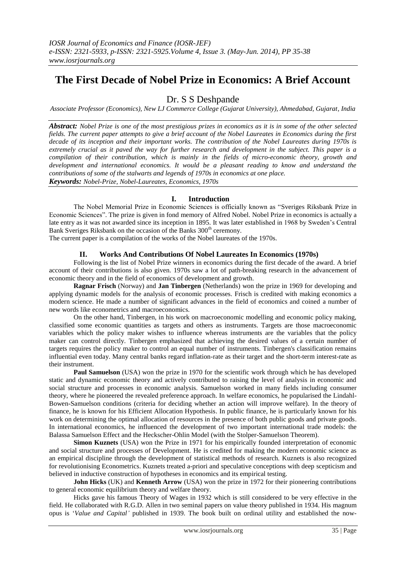## **The First Decade of Nobel Prize in Economics: A Brief Account**

### Dr. S S Deshpande

*Associate Professor (Economics), New LJ Commerce College (Gujarat University), Ahmedabad, Gujarat, India*

*Abstract: Nobel Prize is one of the most prestigious prizes in economics as it is in some of the other selected fields. The current paper attempts to give a brief account of the Nobel Laureates in Economics during the first decade of its inception and their important works. The contribution of the Nobel Laureates during 1970s is extremely crucial as it paved the way for further research and development in the subject. This paper is a compilation of their contribution, which is mainly in the fields of micro-economic theory, growth and development and international economics. It would be a pleasant reading to know and understand the contributions of some of the stalwarts and legends of 1970s in economics at one place. Keywords: Nobel-Prize, Nobel-Laureates, Economics, 1970s*

**I. Introduction**

The Nobel Memorial Prize in Economic Sciences is officially known as "Sveriges Riksbank Prize in Economic Sciences". The prize is given in fond memory of Alfred Nobel. Nobel Prize in economics is actually a late entry as it was not awarded since its inception in 1895. It was later established in 1968 by Sweden"s Central Bank Sveriges Riksbank on the occasion of the Banks 300<sup>th</sup> ceremony.

The current paper is a compilation of the works of the Nobel laureates of the 1970s.

#### **II. Works And Contributions Of Nobel Laureates In Economics (1970s)**

Following is the list of Nobel Prize winners in economics during the first decade of the award. A brief account of their contributions is also given. 1970s saw a lot of path-breaking research in the advancement of economic theory and in the field of economics of development and growth.

**Ragnar Frisch** (Norway) and **Jan Tinbergen** (Netherlands) won the prize in 1969 for developing and applying dynamic models for the analysis of economic processes. Frisch is credited with making economics a modern science. He made a number of significant advances in the field of economics and coined a number of new words like econometrics and macroeconomics.

On the other hand, Tinbergen, in his work on macroeconomic modelling and economic policy making, classified some economic quantities as targets and others as instruments. Targets are those macroeconomic variables which the policy maker wishes to influence whereas instruments are the variables that the policy maker can control directly. Tinbergen emphasized that achieving the desired values of a certain number of targets requires the policy maker to control an equal number of instruments. Tinbergen's classification remains influential even today. Many central banks regard inflation-rate as their target and the short-ter[m interest-](http://en.wikipedia.org/wiki/Interest_rate)rate as their instrument.

**Paul Samuelson** (USA) won the prize in 1970 for the scientific work through which he has developed static and dynamic economic theory and actively contributed to raising the level of analysis in economic and social structure and processes in economic analysis. Samuelson worked in many fields including consumer theory, where he pioneered the revealed preference approach. In welfare economics, he popularised the [Lindahl-](http://en.wikipedia.org/wiki/Lindahl%E2%80%93Bowen%E2%80%93Samuelson_conditions)[Bowen-Samuelson c](http://en.wikipedia.org/wiki/Lindahl%E2%80%93Bowen%E2%80%93Samuelson_conditions)onditions (criteria for deciding whether an action will improve welfare). In the theory of finance, he is known for his Efficient Allocation Hypothesis. In public finance, he is particularly known for his work on determining the [optimal allocation](http://en.wikipedia.org/wiki/Allocative_efficiency) of resources in the presence of both public goods and private goods. In international economics, he influenced the development of two important international trade models: the Balassa Samuelson Effect and the Heckscher-Ohlin Model (with the Stolper-Samuelson Theorem).

**Simon Kuznets** (USA) won the Prize in 1971 for his empirically founded interpretation of economic and social structure and processes of Development. He is credited for making the modern economic science as an empirical discipline through the development of statistical methods of research. Kuznets is also recognized for revolutionising Econometrics. Kuznets treated a-priori and speculative conceptions with deep scepticism and believed in inductive construction of hypotheses in economics and its empirical testing.

**John Hicks** (UK) and **Kenneth Arrow** (USA) won the prize in 1972 for their pioneering contributions to general economic equilibrium theory and welfare theory.

Hicks gave his famous [Theory of Wages](http://en.wikipedia.org/wiki/The_Theory_of_Wages) in 1932 which is still considered to be very effective in the field. He collaborated with R.G.D. Allen in two seminal papers on [value theory](http://en.wikipedia.org/wiki/Value_theory) published in 1934. His [magnum](http://en.wikipedia.org/wiki/Magnum_opus)  [opus](http://en.wikipedia.org/wiki/Magnum_opus) is "*Value and Capital'* published in 1939. The book built on ordinal utility and established the now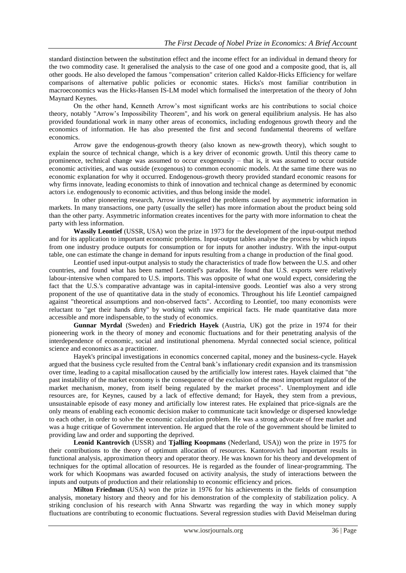standard distinction between the substitution effect and the income effect for an individual in demand theory for the two commodity case. It generalised the analysis to the case of one good and a composite good, that is, all other goods. He also developed the famous "compensation" criterion called Kaldor-Hicks Efficiency for welfare comparisons of alternative public policies or economic states. Hicks's most familiar contribution in [macroeconomics](http://en.wikipedia.org/wiki/Macroeconomics) was the Hicks-Hansen IS-LM model which formalised the interpretation of the theory of John Maynard Keynes.

On the other hand, Kenneth Arrow"s most significant works are his contributions to [social choice](http://en.wikipedia.org/wiki/Social_choice_theory)  [theory,](http://en.wikipedia.org/wiki/Social_choice_theory) notably "Arrow's Impossibility Theorem", and his work on general equilibrium analysis. He has also provided foundational work in many other areas of economics, including endogenous growth theory and [the](http://en.wikipedia.org/wiki/Asymmetric_information)  [economics](http://en.wikipedia.org/wiki/Asymmetric_information) of information. He has also presented the first and second fundamental theorems of welfare economics.

Arrow gave the [endogenous-growth theory](http://en.wikipedia.org/wiki/Endogenous_growth_theory) (also known as new-growth theory), which sought to explain the source of technical change, which is a key driver of economic growth. Until this theory came to prominence, technical change was assumed to occur [exogenously](http://en.wikipedia.org/wiki/Exogenous) – that is, it was assumed to occur outside economic activities, and was outside (exogenous) to common economic models. At the same time there was no economic explanation for why it occurred. Endogenous-growth theory provided standard economic reasons for why firms innovate, leading economists to think of innovation and technical change as determined by economic actors i.e. endogenously to economic activities, and thus belong inside the model.

In other pioneering research, Arrow investigated the problems caused by asymmetric information in markets. In many transactions, one party (usually the seller) has more information about the product being sold than the other party. Asymmetric information creates incentives for the party with more information to cheat the party with less information.

**Wassily Leontief** (USSR, USA) won the prize in 1973 for the development of the input-output method and for its application to important economic problems. Input-output tables analyse the process by which inputs from one industry produce outputs for consumption or for inputs for another industry. With the input-output table, one can estimate the change in demand for inputs resulting from a change in production of the final good.

Leontief used input-output analysis to study the characteristics of trade flow between the U.S. and other countries, and found what has been named Leontief's paradox. He found that U.S. exports were relatively labour-intensive when compared to U.S. imports. This was opposite of what one would expect, considering the fact that the U.S.'s comparative advantage was in capital-intensive goods. Leontief was also a very strong proponent of the use of quantitative data in the study of economics. Throughout his life Leontief campaigned against "theoretical assumptions and non-observed facts". According to Leontief, too many economists were reluctant to "get their hands dirty" by working with raw empirical facts. He made quantitative data more accessible and more indispensable, to the study of economics.

**Gunnar Myrdal** (Sweden) and **Friedrich Hayek** (Austria, UK) got the prize in 1974 for their pioneering work in the theory of money and economic fluctuations and for their penetrating analysis of the interdependence of economic, social and institutional phenomena. Myrdal connected social science, political science and economics as a practitioner.

Hayek's principal investigations in economics concerned capital, money and the business-cycle. Hayek argued that the business cycle resulted from the Central bank"s inflationary credit expansion and its transmission over time, leading to a capital misallocation caused by the artificially low interest rates. Hayek claimed that "the past instability of the market economy is the consequence of the exclusion of the most important regulator of the market mechanism, money, from itself being regulated by the market process". Unemployment and idle resources are, for Keynes, caused by a lack of effective demand; for Hayek, they stem from a previous, unsustainable episode of easy money and artificially low interest rates. He explained that price-signals are the only means of enabling each economic decision maker to communicate tacit knowledge or dispersed knowledge to each other, in order to solve the economic calculation problem. He was a strong advocate of free market and was a huge critique of Government intervention. He argued that the role of the government should be limited to providing law and order and supporting the deprived.

**Leonid Kantrovich** (USSR) and **Tjalling Koopmans** (Nederland, USA)) won the prize in 1975 for their contributions to the theory of optimum allocation of resources. Kantorovich had important results in functional analysis, approximation theory and operator theory. He was known for his theory and development of techniques for the optimal allocation of resources. He is regarded as the founder of linear-programming. The work for which Koopmans was awarded focused on activity analysis, the study of interactions between the inputs and outputs of production and their relationship to economic efficiency and prices.

**Milton Friedman** (USA) won the prize in 1976 for his achievements in the fields of consumption analysis, monetary history and theory and for his demonstration of the complexity of stabilization policy. A striking conclusion of his research with Anna Shwartz was regarding the way in which money supply fluctuations are contributing to economic fluctuations. Several regression studies with David Meiselman during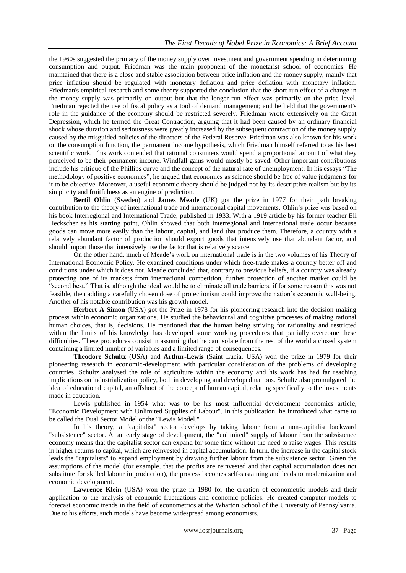the 1960s suggested the primacy of the money supply over investment and government spending in determining consumption and output. Friedman was the main proponent of the monetarist school of economics. He maintained that there is a close and stable association between [price inflation](http://en.wikipedia.org/wiki/Inflation) and the money supply, mainly that price inflation should be regulated with monetary deflation and price deflation with [monetary i](http://en.wikipedia.org/wiki/Monetary_inflation)nflation. Friedman's empirical research and some theory supported the conclusion that the short-run effect of a change in the money supply was primarily on output but that the longer-run effect was primarily on the price level. Friedman rejected the use of [fiscal policy](http://en.wikipedia.org/wiki/Fiscal_policy) as a tool of [demand](http://en.wikipedia.org/wiki/Demand) management; and he held that the government's role in the guidance of the economy should be restricted severely. Friedman wrote extensively on the Great Depression, which he termed the [Great Contraction,](http://en.wikipedia.org/wiki/Great_Contraction) arguing that it had been caused by an ordinary financial [shock](http://en.wikipedia.org/wiki/Shock_%28economics%29) whose duration and seriousness were greatly increased by the subsequent contraction of the money supply caused by the misguided policies of the directors of the Federal Reserve. Friedman was also known for his work on the consumption function, the permanent income hypothesis, which Friedman himself referred to as his best scientific work. This work contended that rational consumers would spend a proportional amount of what they perceived to be their permanent income. Windfall gains would mostly be saved. Other important contributions include his critique of the [Phillips curve](http://en.wikipedia.org/wiki/Phillips_curve) and the concept of the [natural rate of unemployment.](http://en.wikipedia.org/wiki/Natural_rate_of_unemployment) In his essays "The methodology of positive economics", he argued that economics as science should be free of value judgments for it to be objective. Moreover, a useful economic theory should be judged not by its descriptive realism but by its simplicity and fruitfulness as an engine of prediction.

**Bertil Ohlin** (Sweden) and **James Meade** (UK) got the prize in 1977 for their path breaking contribution to the theory of international trade and international capital movements. Ohlin"s prize was based on his book Interregional and International Trade, published in 1933. With a 1919 article by his former teacher Eli Heckscher as his starting point, Ohlin showed that both interregional and international trade occur because goods can move more easily than the labour, capital, and land that produce them. Therefore, a country with a relatively abundant factor of production should export goods that intensively use that abundant factor, and should import those that intensively use the factor that is relatively scarce.

On the other hand, much of Meade"s work on international trade is in the two volumes of his Theory of International Economic Policy. He examined conditions under which free-trade makes a country better off and conditions under which it does not. Meade concluded that, contrary to previous beliefs, if a country was already protecting one of its markets from international competition, further protection of another market could be "second best." That is, although the ideal would be to eliminate all trade barriers, if for some reason this was not feasible, then adding a carefully chosen dose of protectionism could improve the nation"s economic well-being. Another of his notable contribution was his growth model.

**Herbert A Simon** (USA) got the Prize in 1978 for his pioneering research into the decision making process within economic organizations. He studied the behavioural and cognitive processes of making rational human choices, that is, decisions. He mentioned that the human being striving for rationality and restricted within the limits of his knowledge has developed some working procedures that partially overcome these difficulties. These procedures consist in assuming that he can isolate from the rest of the world a closed system containing a limited number of variables and a limited range of consequences.

**Theodore Schultz** (USA) and **Arthur-Lewis** (Saint Lucia, USA) won the prize in 1979 for their pioneering research in economic-development with particular consideration of the problems of developing countries. Schultz analysed the role of agriculture within the economy and his work has had far reaching implications on industrialization policy, both in developing and developed nations. Schultz also promulgated the idea of educational capital, an offshoot of the concept of human capital, relating specifically to the investments made in education.

Lewis published in 1954 what was to be his most influential development economics article, "Economic Development with Unlimited Supplies of Labour". In this publication, he introduced what came to be called the Dual Sector Model or the "Lewis Model."

In his theory, a "capitalist" sector develops by taking labour from a non-capitalist backward "subsistence" sector. At an early stage of development, the "unlimited" supply of labour from the subsistence economy means that the capitalist sector can expand for some time without the need to raise wages. This results in higher returns to capital, which are reinvested in capital accumulation. In turn, the increase in the capital stock leads the "capitalists" to expand employment by drawing further labour from the subsistence sector. Given the assumptions of the model (for example, that the profits are reinvested and that capital accumulation does not substitute for skilled labour in production), the process becomes self-sustaining and leads to modernization and economic development.

**Lawrence Klein** (USA) won the prize in 1980 for the creation of econometric models and their application to the analysis of economic fluctuations and economic policies. He created computer models to forecast economic trends in the field of econometrics at the Wharton School of the University of Pennsylvania. Due to his efforts, such models have become widespread among economists.